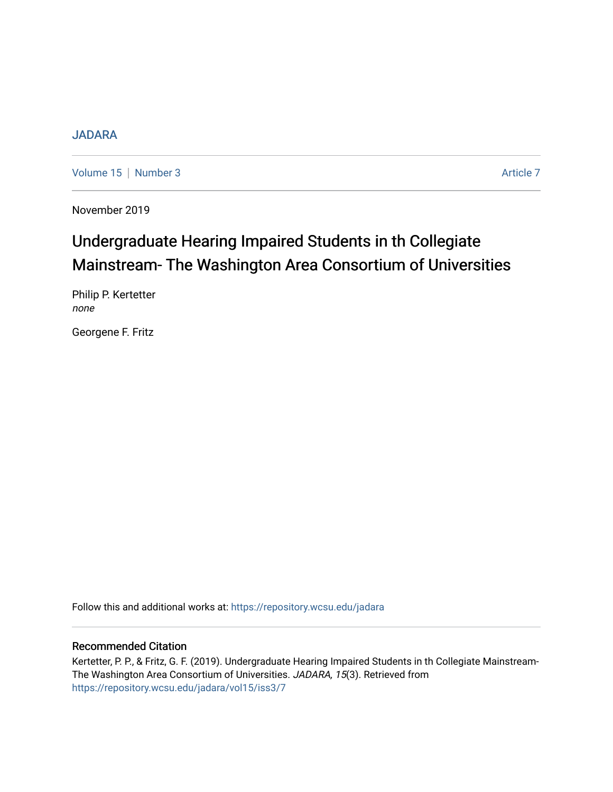# [JADARA](https://repository.wcsu.edu/jadara)

[Volume 15](https://repository.wcsu.edu/jadara/vol15) | [Number 3](https://repository.wcsu.edu/jadara/vol15/iss3) Article 7

November 2019

# Undergraduate Hearing Impaired Students in th Collegiate Mainstream- The Washington Area Consortium of Universities

Philip P. Kertetter none

Georgene F. Fritz

Follow this and additional works at: [https://repository.wcsu.edu/jadara](https://repository.wcsu.edu/jadara?utm_source=repository.wcsu.edu%2Fjadara%2Fvol15%2Fiss3%2F7&utm_medium=PDF&utm_campaign=PDFCoverPages)

# Recommended Citation

Kertetter, P. P., & Fritz, G. F. (2019). Undergraduate Hearing Impaired Students in th Collegiate Mainstream-The Washington Area Consortium of Universities. JADARA, 15(3). Retrieved from [https://repository.wcsu.edu/jadara/vol15/iss3/7](https://repository.wcsu.edu/jadara/vol15/iss3/7?utm_source=repository.wcsu.edu%2Fjadara%2Fvol15%2Fiss3%2F7&utm_medium=PDF&utm_campaign=PDFCoverPages)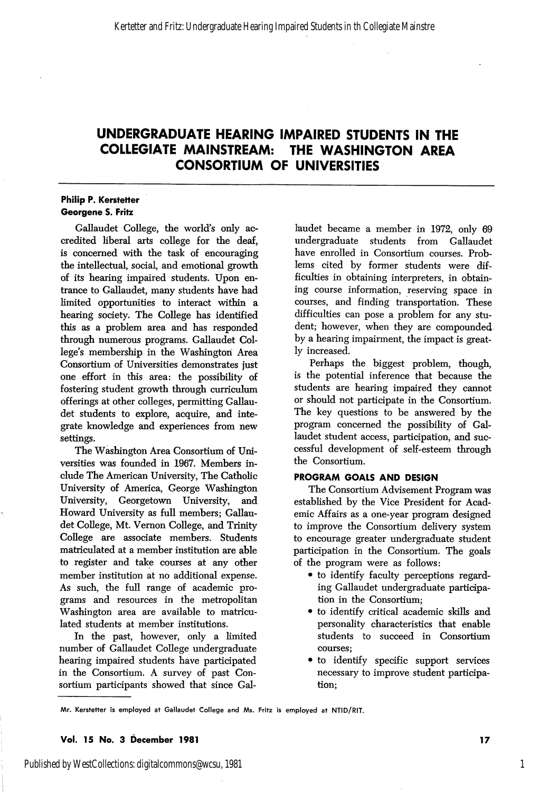# UNDERGRADUATE HEARING IMPAIRED STUDENTS IN THE COLLEGIATE MAINSTREAM: THE WASHINGTON AREA CONSORTIUM OF UNIVERSITIES

## Philip P. Kerstetter Georgene S. Fritz

Gallaudet College, the world's only ac credited liberal arts college for the deaf, is concerned with the task of encouraging the intellectual, social, and emotional growth of its hearing impaired students. Upon en trance to Gallaudet, many students have had limited opportunities to interact within a hearing society. The College has identified this as a problem area and has responded through numerous programs. Gallaudet Col lege's membership in the Washington Area Consortium of Universities demonstrates just one effort in this area: the possibility of fostering student growth through curriculum offerings at other colleges, permitting Gallau det students to explore, acquire, and inte grate knowledge and experiences from new settings.

The Washington Area Consortium of Uni versities was founded in 1967. Members in clude The American University, The Catholic University of America, George Washington University, Georgetown University, and Howard University as full members; Gallau det College, Mt. Vernon College, and Trinity College are associate members. Students matriculated at a member institution are able to register and take courses at any other member institution at no additional expense. As such, the full range of academic pro grams and resources in the metropolitan Washington area are available to matricu lated students at member institutions.

In the past, however, only a limited number of Gallaudet College undergraduate hearing impaired students have participated in the Consortium. A survey of past Con sortium participants showed that since Gal

laudet became a member in 1972, only 69 undergraduate students from Gallaudet have enrolled in Consortium courses. Prob lems cited by former students were dif ficulties in obtaining interpreters, in obtain ing course information, reserving space in courses, and finding transportation. These difficulties can pose a problem for any stu dent; however, when they are compounded by a hearing impairment, the impact is great ly increased.

Perhaps the biggest problem, though, is the potential inference that because the students are hearing impaired they cannot or should not participate in the Consortium. The key questions to be answered by the program concerned the possibility of Gal laudet student access, participation, and suc cessful development of self-esteem through the Consortium.

## PROGRAM GOALS AND DESIGN

The Consortium Advisement Program was established by the Vice President for Acad emic Affairs as a one-year program designed to improve the Consortium delivery system to encourage greater undergraduate student participation in the Consortium. The goals of the program were as follows:

- to identify faculty perceptions regard ing Gallaudet undergraduate participa tion in the Consortium;
- to identify critical academic skills and personality characteristics that enable students to succeed in Consortium courses;
- to identify specific support services necessary to improve student participa tion;

#### Vol. 15 No. 3 December 1981 17

Published by WestCollections: digitalcommons@wcsu, 1981

Mr. Kerstetter is employed at Gallaudet College and Ms. Fritz is employed at NTID/RIT.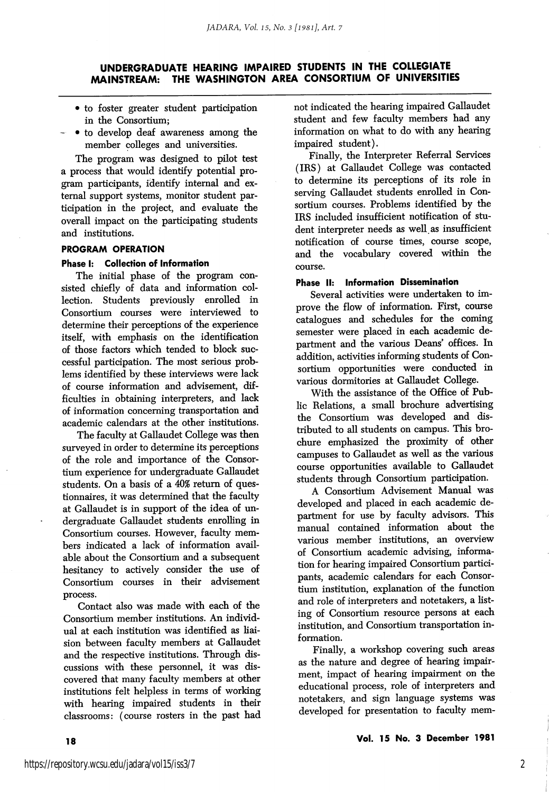# UNDERGRADUATE HEARING IMPAIRED STUDENTS IN THE COLLEGIATE MAINSTREAM: THE WASHINGTON AREA CONSORTIUM OF UNIVERSITIES

- to foster greater student participation in the Consortium;
- • to develop deaf awareness among the member colleges and universities.

The program was designed to pilot test a process that would identify potential pro gram participants, identify internal and ex ternal support systems, monitor student participation in the project, and evaluate the overall impact on the participating students and institutions.

# PROGRAM OPERATION

## Phase I: Collection of Information

The initial phase of the program con sisted chiefly of data and information col lection. Students previously enrolled in Consortium courses were interviewed to determine their perceptions of the experience itself, with emphasis on the identification of those factors which tended to block suc cessful participation. The most serious prob lems identified by these interviews were lack of course information and advisement, dif ficulties in obtaining interpreters, and lack of information concerning transportation and academic calendars at the other institutions.

The faculty at Gallaudet College was then surveyed in order to determine its perceptions of the role and importance of the Consor tium experience for undergraduate Gallaudet students. On a basis of a 40% return of ques tionnaires, it was determined that the faculty at Gallaudet is in support of the idea of un dergraduate Gallaudet students enrolling in Consortium courses. However, faculty mem bers indicated a lack of information avail able about the Consortium and a subsequent hesitancy to actively consider the use of Consortium courses in their advisement process.

Contact also was made with each of the Consortium member institutions. An individ ual at each institution was identified as liaision between faculty members at Gallaudet and the respective institutions. Through dis cussions with these personnel, it was dis covered that many faculty members at other institutions felt helpless in terms of working with hearing impaired students in their classrooms: (course rosters in the past had not indicated the hearing impaired Gallaudet student and few faculty members had any information on what to do with any hearing impaired student).

Finally, the Interpreter Referral Services (IRS) at Gallaudet College was contacted to determine its perceptions of its role in serving Gallaudet students enrolled in Con sortium courses. Problems identified by the IRS included insufficient notification of stu dent interpreter needs as well as insufficient notification of course times, course scope, and the vocabulary covered within the course.

#### Phase II: Information Dissemination

Several activities were undertaken to im prove the flow of information. First, course catalogues and schedules for the coming semester were placed in each academic de partment and the various Deans' offices. In addition, activities informing students of Con sortium opportunities were conducted in various dormitories at Gallaudet College.

With the assistance of the Office of Pub lic Relations, a small brochure advertising the Consortium was developed and dis tributed to all students on campus. This bro chure emphasized the proximity of other campuses to Gallaudet as well as the various course opportunities available to Gallaudet students through Consortium participation.

A Consortium Advisement Manual was developed and placed in each academic de partment for use by faculty advisors. This manual contained information about the various member institutions, an overview of Consortium academic advising, informa tion for hearing impaired Consortium partici pants, academic calendars for each Consor tium institution, explanation of the function and role of interpreters and notetakers, a list ing of Consortium resource persons at each institution, and Consortium transportation in formation.

Finally, a workshop covering such areas as the nature and degree of hearing impair ment, impact of hearing impairment on the educational process, role of interpreters and notetakers, and sign language systems was developed for presentation to faculty mem-